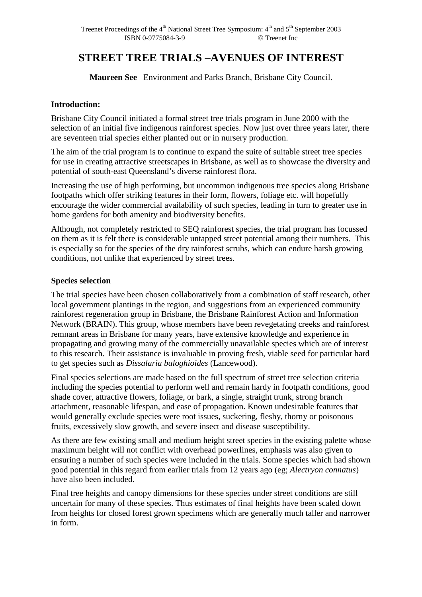# **STREET TREE TRIALS –AVENUES OF INTEREST**

**Maureen See** Environment and Parks Branch, Brisbane City Council.

#### **Introduction:**

Brisbane City Council initiated a formal street tree trials program in June 2000 with the selection of an initial five indigenous rainforest species. Now just over three years later, there are seventeen trial species either planted out or in nursery production.

The aim of the trial program is to continue to expand the suite of suitable street tree species for use in creating attractive streetscapes in Brisbane, as well as to showcase the diversity and potential of south-east Queensland's diverse rainforest flora.

Increasing the use of high performing, but uncommon indigenous tree species along Brisbane footpaths which offer striking features in their form, flowers, foliage etc. will hopefully encourage the wider commercial availability of such species, leading in turn to greater use in home gardens for both amenity and biodiversity benefits.

Although, not completely restricted to SEQ rainforest species, the trial program has focussed on them as it is felt there is considerable untapped street potential among their numbers. This is especially so for the species of the dry rainforest scrubs, which can endure harsh growing conditions, not unlike that experienced by street trees.

#### **Species selection**

The trial species have been chosen collaboratively from a combination of staff research, other local government plantings in the region, and suggestions from an experienced community rainforest regeneration group in Brisbane, the Brisbane Rainforest Action and Information Network (BRAIN). This group, whose members have been revegetating creeks and rainforest remnant areas in Brisbane for many years, have extensive knowledge and experience in propagating and growing many of the commercially unavailable species which are of interest to this research. Their assistance is invaluable in proving fresh, viable seed for particular hard to get species such as *Dissalaria baloghioides* (Lancewood).

Final species selections are made based on the full spectrum of street tree selection criteria including the species potential to perform well and remain hardy in footpath conditions, good shade cover, attractive flowers, foliage, or bark, a single, straight trunk, strong branch attachment, reasonable lifespan, and ease of propagation. Known undesirable features that would generally exclude species were root issues, suckering, fleshy, thorny or poisonous fruits, excessively slow growth, and severe insect and disease susceptibility.

As there are few existing small and medium height street species in the existing palette whose maximum height will not conflict with overhead powerlines, emphasis was also given to ensuring a number of such species were included in the trials. Some species which had shown good potential in this regard from earlier trials from 12 years ago (eg; *Alectryon connatus*) have also been included.

Final tree heights and canopy dimensions for these species under street conditions are still uncertain for many of these species. Thus estimates of final heights have been scaled down from heights for closed forest grown specimens which are generally much taller and narrower in form.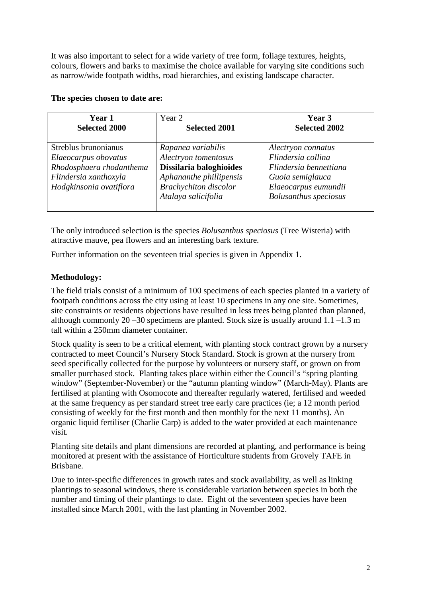It was also important to select for a wide variety of tree form, foliage textures, heights, colours, flowers and barks to maximise the choice available for varying site conditions such as narrow/wide footpath widths, road hierarchies, and existing landscape character.

#### **The species chosen to date are:**

| <b>Year 1</b>                                                                                                                | Year 2                                                                                                                                                  | Year 3                                                                                                                                         |
|------------------------------------------------------------------------------------------------------------------------------|---------------------------------------------------------------------------------------------------------------------------------------------------------|------------------------------------------------------------------------------------------------------------------------------------------------|
| <b>Selected 2000</b>                                                                                                         | <b>Selected 2001</b>                                                                                                                                    | <b>Selected 2002</b>                                                                                                                           |
| Streblus brunonianus<br>Elaeocarpus obovatus<br>Rhodosphaera rhodanthema<br>Flindersia xanthoxyla<br>Hodgkinsonia ovatiflora | Rapanea variabilis<br>Alectryon tomentosus<br>Dissilaria baloghioides<br>Aphananthe phillipensis<br><b>Brachychiton</b> discolor<br>Atalaya salicifolia | Alectryon connatus<br>Flindersia collina<br>Flindersia bennettiana<br>Guoia semiglauca<br>Elaeocarpus eumundii<br><b>Bolusanthus</b> speciosus |

The only introduced selection is the species *Bolusanthus speciosus* (Tree Wisteria) with attractive mauve, pea flowers and an interesting bark texture.

Further information on the seventeen trial species is given in Appendix 1.

## **Methodology:**

The field trials consist of a minimum of 100 specimens of each species planted in a variety of footpath conditions across the city using at least 10 specimens in any one site. Sometimes, site constraints or residents objections have resulted in less trees being planted than planned, although commonly 20 –30 specimens are planted. Stock size is usually around 1.1 –1.3 m tall within a 250mm diameter container.

Stock quality is seen to be a critical element, with planting stock contract grown by a nursery contracted to meet Council's Nursery Stock Standard. Stock is grown at the nursery from seed specifically collected for the purpose by volunteers or nursery staff, or grown on from smaller purchased stock. Planting takes place within either the Council's "spring planting window" (September-November) or the "autumn planting window" (March-May). Plants are fertilised at planting with Osomocote and thereafter regularly watered, fertilised and weeded at the same frequency as per standard street tree early care practices (ie; a 12 month period consisting of weekly for the first month and then monthly for the next 11 months). An organic liquid fertiliser (Charlie Carp) is added to the water provided at each maintenance visit.

Planting site details and plant dimensions are recorded at planting, and performance is being monitored at present with the assistance of Horticulture students from Grovely TAFE in Brisbane.

Due to inter-specific differences in growth rates and stock availability, as well as linking plantings to seasonal windows, there is considerable variation between species in both the number and timing of their plantings to date. Eight of the seventeen species have been installed since March 2001, with the last planting in November 2002.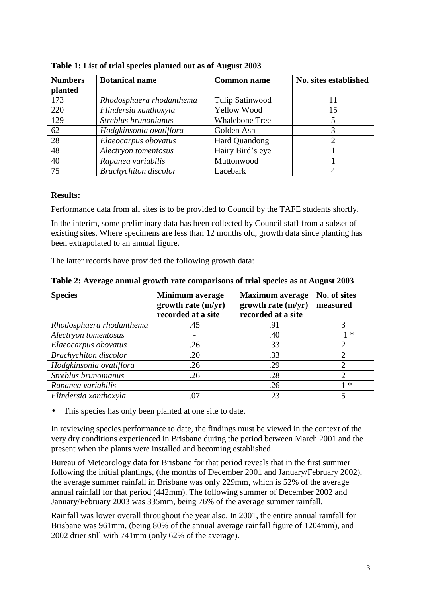| <b>Numbers</b> | <b>Botanical name</b>        | <b>Common name</b>    | No. sites established |
|----------------|------------------------------|-----------------------|-----------------------|
| planted        |                              |                       |                       |
| 173            | Rhodosphaera rhodanthema     | Tulip Satinwood       |                       |
| 220            | Flindersia xanthoxyla        | <b>Yellow Wood</b>    | 15                    |
| 129            | Streblus brunonianus         | <b>Whalebone Tree</b> |                       |
| 62             | Hodgkinsonia ovatiflora      | Golden Ash            |                       |
| 28             | Elaeocarpus obovatus         | Hard Quandong         |                       |
| 48             | Alectryon tomentosus         | Hairy Bird's eye      |                       |
| 40             | Rapanea variabilis           | Muttonwood            |                       |
| 75             | <b>Brachychiton</b> discolor | Lacebark              |                       |

**Table 1: List of trial species planted out as of August 2003** 

#### **Results:**

Performance data from all sites is to be provided to Council by the TAFE students shortly.

In the interim, some preliminary data has been collected by Council staff from a subset of existing sites. Where specimens are less than 12 months old, growth data since planting has been extrapolated to an annual figure.

The latter records have provided the following growth data:

| <b>Species</b>               | Minimum average        | No. of sites<br><b>Maximum</b> average |                             |
|------------------------------|------------------------|----------------------------------------|-----------------------------|
|                              | $growth$ rate $(m/yr)$ | growth rate $(m/yr)$                   | measured                    |
|                              | recorded at a site     | recorded at a site                     |                             |
| Rhodosphaera rhodanthema     | .45                    | .91                                    | 3                           |
| Alectryon tomentosus         |                        | .40                                    | 1 *                         |
| Elaeocarpus obovatus         | .26                    | .33                                    | $\mathcal{D}_{\mathcal{L}}$ |
| <b>Brachychiton</b> discolor | .20                    | .33                                    | $\mathcal{D}_{\mathcal{L}}$ |
| Hodgkinsonia ovatiflora      | .26                    | .29                                    |                             |
| Streblus brunonianus         | .26                    | .28                                    | $\overline{2}$              |
| Rapanea variabilis           |                        | .26                                    | $\ast$                      |
| Flindersia xanthoxyla        | .07                    | .23                                    |                             |

**Table 2: Average annual growth rate comparisons of trial species as at August 2003** 

This species has only been planted at one site to date.

In reviewing species performance to date, the findings must be viewed in the context of the very dry conditions experienced in Brisbane during the period between March 2001 and the present when the plants were installed and becoming established.

Bureau of Meteorology data for Brisbane for that period reveals that in the first summer following the initial plantings, (the months of December 2001 and January/February 2002), the average summer rainfall in Brisbane was only 229mm, which is 52% of the average annual rainfall for that period (442mm). The following summer of December 2002 and January/February 2003 was 335mm, being 76% of the average summer rainfall.

Rainfall was lower overall throughout the year also. In 2001, the entire annual rainfall for Brisbane was 961mm, (being 80% of the annual average rainfall figure of 1204mm), and 2002 drier still with 741mm (only 62% of the average).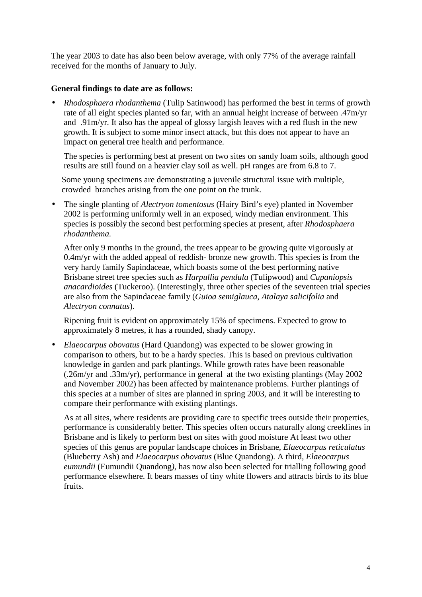The year 2003 to date has also been below average, with only 77% of the average rainfall received for the months of January to July.

### **General findings to date are as follows:**

• *Rhodosphaera rhodanthema* (Tulip Satinwood) has performed the best in terms of growth rate of all eight species planted so far, with an annual height increase of between .47m/yr and .91m/yr. It also has the appeal of glossy largish leaves with a red flush in the new growth. It is subject to some minor insect attack, but this does not appear to have an impact on general tree health and performance.

The species is performing best at present on two sites on sandy loam soils, although good results are still found on a heavier clay soil as well. pH ranges are from 6.8 to 7.

Some young specimens are demonstrating a juvenile structural issue with multiple, crowded branches arising from the one point on the trunk.

• The single planting of *Alectryon tomentosus* (Hairy Bird's eye) planted in November 2002 is performing uniformly well in an exposed, windy median environment. This species is possibly the second best performing species at present, after *Rhodosphaera rhodanthema.* 

After only 9 months in the ground, the trees appear to be growing quite vigorously at 0.4m/yr with the added appeal of reddish- bronze new growth. This species is from the very hardy family Sapindaceae, which boasts some of the best performing native Brisbane street tree species such as *Harpullia pendula* (Tulipwood) and *Cupaniopsis anacardioides* (Tuckeroo). (Interestingly, three other species of the seventeen trial species are also from the Sapindaceae family (*Guioa semiglauca, Atalaya salicifolia* and *Alectryon connatus*).

Ripening fruit is evident on approximately 15% of specimens. Expected to grow to approximately 8 metres, it has a rounded, shady canopy.

• *Elaeocarpus obovatus* (Hard Quandong) was expected to be slower growing in comparison to others, but to be a hardy species. This is based on previous cultivation knowledge in garden and park plantings. While growth rates have been reasonable (.26m/yr and .33m/yr), performance in general at the two existing plantings (May 2002 and November 2002) has been affected by maintenance problems. Further plantings of this species at a number of sites are planned in spring 2003, and it will be interesting to compare their performance with existing plantings.

As at all sites, where residents are providing care to specific trees outside their properties, performance is considerably better. This species often occurs naturally along creeklines in Brisbane and is likely to perform best on sites with good moisture At least two other species of this genus are popular landscape choices in Brisbane, *Elaeocarpus reticulatus* (Blueberry Ash) and *Elaeocarpus obovatus* (Blue Quandong). A third, *Elaeocarpus eumundii* (Eumundii Quandong*),* has now also been selected for trialling following good performance elsewhere. It bears masses of tiny white flowers and attracts birds to its blue fruits.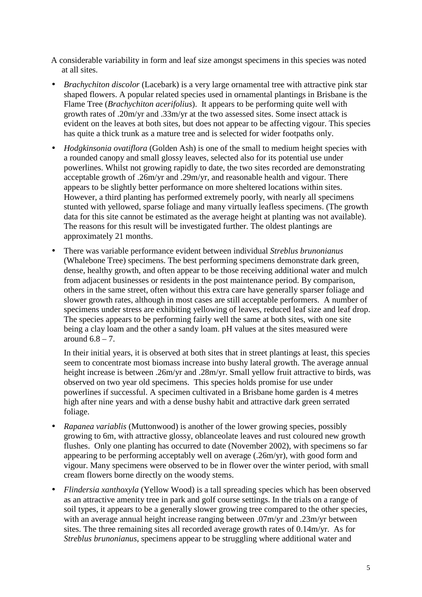A considerable variability in form and leaf size amongst specimens in this species was noted at all sites.

- *Brachychiton discolor* (Lacebark) is a very large ornamental tree with attractive pink star shaped flowers. A popular related species used in ornamental plantings in Brisbane is the Flame Tree (*Brachychiton acerifolius*). It appears to be performing quite well with growth rates of .20m/yr and .33m/yr at the two assessed sites. Some insect attack is evident on the leaves at both sites, but does not appear to be affecting vigour. This species has quite a thick trunk as a mature tree and is selected for wider footpaths only.
- *Hodgkinsonia ovatiflora* (Golden Ash) is one of the small to medium height species with a rounded canopy and small glossy leaves, selected also for its potential use under powerlines. Whilst not growing rapidly to date, the two sites recorded are demonstrating acceptable growth of .26m/yr and .29m/yr, and reasonable health and vigour. There appears to be slightly better performance on more sheltered locations within sites. However, a third planting has performed extremely poorly, with nearly all specimens stunted with yellowed, sparse foliage and many virtually leafless specimens. (The growth data for this site cannot be estimated as the average height at planting was not available). The reasons for this result will be investigated further. The oldest plantings are approximately 21 months.
- There was variable performance evident between individual *Streblus brunonianus* (Whalebone Tree) specimens. The best performing specimens demonstrate dark green, dense, healthy growth, and often appear to be those receiving additional water and mulch from adjacent businesses or residents in the post maintenance period. By comparison, others in the same street, often without this extra care have generally sparser foliage and slower growth rates, although in most cases are still acceptable performers. A number of specimens under stress are exhibiting yellowing of leaves, reduced leaf size and leaf drop. The species appears to be performing fairly well the same at both sites, with one site being a clay loam and the other a sandy loam. pH values at the sites measured were around  $6.8 - 7$ .

In their initial years, it is observed at both sites that in street plantings at least, this species seem to concentrate most biomass increase into bushy lateral growth. The average annual height increase is between .26m/yr and .28m/yr. Small yellow fruit attractive to birds, was observed on two year old specimens. This species holds promise for use under powerlines if successful. A specimen cultivated in a Brisbane home garden is 4 metres high after nine years and with a dense bushy habit and attractive dark green serrated foliage.

- *Rapanea variablis* (Muttonwood) is another of the lower growing species, possibly growing to 6m, with attractive glossy, oblanceolate leaves and rust coloured new growth flushes. Only one planting has occurred to date (November 2002), with specimens so far appearing to be performing acceptably well on average (.26m/yr), with good form and vigour. Many specimens were observed to be in flower over the winter period, with small cream flowers borne directly on the woody stems.
- *Flindersia xanthoxyla* (Yellow Wood) is a tall spreading species which has been observed as an attractive amenity tree in park and golf course settings. In the trials on a range of soil types, it appears to be a generally slower growing tree compared to the other species, with an average annual height increase ranging between .07m/yr and .23m/yr between sites. The three remaining sites all recorded average growth rates of 0.14m/yr. As for *Streblus brunonianus*, specimens appear to be struggling where additional water and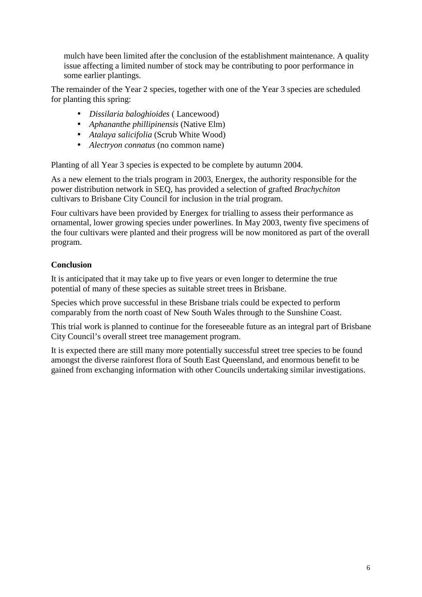mulch have been limited after the conclusion of the establishment maintenance. A quality issue affecting a limited number of stock may be contributing to poor performance in some earlier plantings.

The remainder of the Year 2 species, together with one of the Year 3 species are scheduled for planting this spring:

- *Dissilaria baloghioides* ( Lancewood)
- *Aphananthe phillipinensis* (Native Elm)
- *Atalaya salicifolia* (Scrub White Wood)
- *Alectryon connatus* (no common name)

Planting of all Year 3 species is expected to be complete by autumn 2004.

As a new element to the trials program in 2003, Energex, the authority responsible for the power distribution network in SEQ, has provided a selection of grafted *Brachychiton* cultivars to Brisbane City Council for inclusion in the trial program.

Four cultivars have been provided by Energex for trialling to assess their performance as ornamental, lower growing species under powerlines. In May 2003, twenty five specimens of the four cultivars were planted and their progress will be now monitored as part of the overall program.

## **Conclusion**

It is anticipated that it may take up to five years or even longer to determine the true potential of many of these species as suitable street trees in Brisbane.

Species which prove successful in these Brisbane trials could be expected to perform comparably from the north coast of New South Wales through to the Sunshine Coast.

This trial work is planned to continue for the foreseeable future as an integral part of Brisbane City Council's overall street tree management program.

It is expected there are still many more potentially successful street tree species to be found amongst the diverse rainforest flora of South East Queensland, and enormous benefit to be gained from exchanging information with other Councils undertaking similar investigations.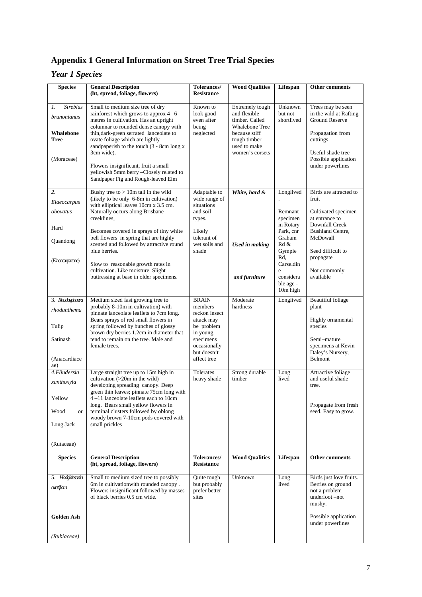# **Appendix 1 General Information on Street Tree Trial Species**

## *Year 1 Species*

| <b>Species</b>                              | <b>General Description</b>                                                                                                                                    | Tolerances/                                           | <b>Wood Qualities</b>                                                      | Lifespan                                             | <b>Other comments</b>                                                                    |
|---------------------------------------------|---------------------------------------------------------------------------------------------------------------------------------------------------------------|-------------------------------------------------------|----------------------------------------------------------------------------|------------------------------------------------------|------------------------------------------------------------------------------------------|
|                                             | (ht, spread, foliage, flowers)                                                                                                                                | <b>Resistance</b>                                     |                                                                            |                                                      |                                                                                          |
| <b>Streblus</b><br>1.<br><i>brunonianus</i> | Small to medium size tree of dry<br>rainforest which grows to approx $4-6$<br>metres in cultivation. Has an upright<br>columnar to rounded dense canopy with  | Known to<br>look good<br>even after<br>being          | Extremely tough<br>and flexible<br>timber. Called<br><b>Whalebone Tree</b> | Unknown<br>but not<br>shortlived                     | Trees may be seen<br>in the wild at Rafting<br><b>Ground Reserve</b>                     |
| <b>Whalebone</b><br><b>Tree</b>             | thin, dark-green serrated lanceolate to<br>ovate foliage which are lightly<br>sandpaperish to the touch (3 - 8cm long x<br>3cm wide).                         | neglected                                             | because stiff<br>tough timber<br>used to make<br>women's corsets           |                                                      | Propagation from<br>cuttings<br>Useful shade tree                                        |
| (Moraceae)                                  | Flowers insignificant, fruit a small<br>yellowish 5mm berry -Closely related to<br>Sandpaper Fig and Rough-leaved Elm                                         |                                                       |                                                                            |                                                      | Possible application<br>under powerlines                                                 |
| 2.<br>Elaeocarpus                           | Bushy tree to $> 10m$ tall in the wild<br>(likely to be only 6-8m in cultivation)                                                                             | Adaptable to<br>wide range of                         | White, hard &                                                              | Longlived                                            | Birds are attracted to<br>fruit                                                          |
| obovatus                                    | with elliptical leaves 10cm x 3.5 cm.<br>Naturally occurs along Brisbane<br>creeklines,                                                                       | situations<br>and soil<br>types.                      |                                                                            | Remnant<br>specimen                                  | Cultivated specimen<br>at entrance to                                                    |
| Hard<br>Quandong                            | Becomes covered in sprays of tiny white<br>bell flowers in spring that are highly                                                                             | Likely<br>tolerant of                                 |                                                                            | in Rotary<br>Park, cnr<br>Graham                     | Downfall Creek<br><b>Bushland Centre,</b><br>McDowall                                    |
| (Elaeocarpaceae)                            | scented and followed by attractive round<br>blue berries.                                                                                                     | wet soils and<br>shade                                | <b>Used in making</b>                                                      | Rd &<br>Gympie<br>Rd.                                | Seed difficult to<br>propagate                                                           |
|                                             | Slow to reasonable growth rates in<br>cultivation. Like moisture. Slight<br>buttressing at base in older specimens.                                           |                                                       | and furniture                                                              | Carseldin<br>e<br>considera<br>ble age -<br>10m high | Not commonly<br>available                                                                |
| 3. Rhodosphaera<br>rhodanthema              | Medium sized fast growing tree to<br>probably 8-10m in cultivation) with<br>pinnate lanceolate leaflets to 7cm long.                                          | <b>BRAIN</b><br>members<br>reckon insect              | Moderate<br>hardness                                                       | Longlived                                            | <b>Beautiful foliage</b><br>plant                                                        |
| Tulip                                       | Bears sprays of red small flowers in<br>spring followed by bunches of glossy<br>brown dry berries 1.2cm in diameter that                                      | attack may<br>be problem<br>in young                  |                                                                            |                                                      | Highly ornamental<br>species                                                             |
| Satinash                                    | tend to remain on the tree. Male and<br>female trees.                                                                                                         | specimens<br>occasionally<br>but doesn't              |                                                                            |                                                      | Semi-mature<br>specimens at Kevin<br>Daley's Nursery,                                    |
| (Anacardiace<br>ae)                         |                                                                                                                                                               | affect tree                                           |                                                                            |                                                      | Belmont                                                                                  |
| 4.Flindersia<br>xanthoxyla                  | Large straight tree up to 15m high in<br>cultivation (>20m in the wild)<br>developing spreading canopy. Deep                                                  | Tolerates<br>heavy shade                              | Strong durable<br>timber                                                   | Long<br>lived                                        | Attractive foliage<br>and useful shade<br>tree.                                          |
| Yellow                                      | green thin leaves; pinnate 75cm long with<br>4-11 lanceolate leaflets each to 10cm<br>long. Bears small yellow flowers in                                     |                                                       |                                                                            |                                                      | Propagate from fresh                                                                     |
| Wood<br><sub>or</sub>                       | terminal clusters followed by oblong<br>woody brown 7-10cm pods covered with<br>small prickles                                                                |                                                       |                                                                            |                                                      | seed. Easy to grow.                                                                      |
| Long Jack                                   |                                                                                                                                                               |                                                       |                                                                            |                                                      |                                                                                          |
| (Rutaceae)                                  |                                                                                                                                                               |                                                       |                                                                            |                                                      |                                                                                          |
| <b>Species</b>                              | <b>General Description</b><br>(ht, spread, foliage, flowers)                                                                                                  | Tolerances/<br><b>Resistance</b>                      | <b>Wood Qualities</b>                                                      | Lifespan                                             | Other comments                                                                           |
| 5. Hodgkinsonia<br>oxatiflora               | Small to medium sized tree to possibly<br>6m in cultivation with rounded canopy.<br>Flowers insignificant followed by masses<br>of black berries 0.5 cm wide. | Quite tough<br>but probably<br>prefer better<br>sites | Unknown                                                                    | Long<br>lived                                        | Birds just love fruits.<br>Berries on ground<br>not a problem<br>underfoot-not<br>mushy. |
| Golden Ash                                  |                                                                                                                                                               |                                                       |                                                                            |                                                      | Possible application<br>under powerlines                                                 |
| (Rubiaceae)                                 |                                                                                                                                                               |                                                       |                                                                            |                                                      |                                                                                          |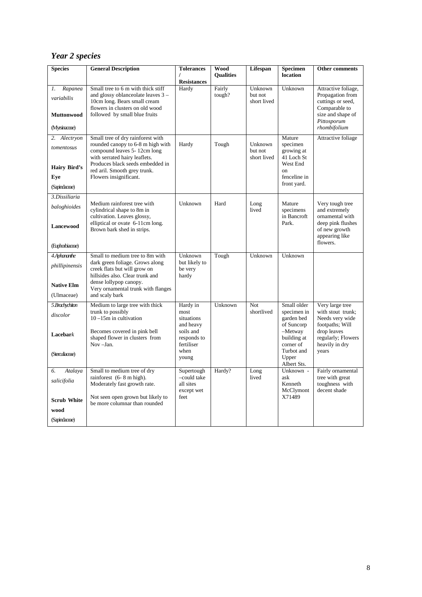## *Year 2 species*

| <b>Species</b>      | <b>General Description</b>                                                                         | <b>Tolerances</b>                 | Wood             | Lifespan           | <b>Specimen</b>                    | Other comments                                                          |
|---------------------|----------------------------------------------------------------------------------------------------|-----------------------------------|------------------|--------------------|------------------------------------|-------------------------------------------------------------------------|
|                     |                                                                                                    | I                                 | <b>Qualities</b> |                    | location                           |                                                                         |
| Rapanea<br>1.       | Small tree to 6 m with thick stiff                                                                 | <b>Resistances</b><br>Hardy       | Fairly           | Unknown            | Unknown                            | Attractive foliage,                                                     |
| variabilis          | and glossy oblance olate leaves 3 -                                                                |                                   | tough?           | but not            |                                    | Propagation from                                                        |
|                     | 10cm long. Bears small cream<br>flowers in clusters on old wood                                    |                                   |                  | short lived        |                                    | cuttings or seed,<br>Comparable to                                      |
| <b>Muttonwood</b>   | followed by small blue fruits                                                                      |                                   |                  |                    |                                    | size and shape of<br>Pittosporum                                        |
| (Myrsinaceae)       |                                                                                                    |                                   |                  |                    |                                    | rhombifolium                                                            |
| Alectryon<br>2.     | Small tree of dry rainforest with                                                                  |                                   |                  |                    | Mature                             | Attractive foliage                                                      |
| tomentosus          | rounded canopy to 6-8 m high with<br>compound leaves 5-12cm long                                   | Hardy                             | Tough            | Unknown<br>but not | specimen<br>growing at             |                                                                         |
| <b>Hairy Bird's</b> | with serrated hairy leaflets.<br>Produces black seeds embedded in<br>red aril. Smooth grey trunk.  |                                   |                  | short lived        | 41 Loch St<br>West End<br>on       |                                                                         |
| Eye                 | Flowers insignificant.                                                                             |                                   |                  |                    | fenceline in                       |                                                                         |
| (Sapindaceae)       |                                                                                                    |                                   |                  |                    | front yard.                        |                                                                         |
| 3.Dissiliaria       |                                                                                                    |                                   |                  |                    |                                    |                                                                         |
| baloghioides        | Medium rainforest tree with<br>cylindrical shape to 8m in                                          | Unknown                           | Hard             | Long<br>lived      | Mature<br>specimens<br>in Bancroft | Very tough tree<br>and extremely                                        |
| <b>Lancewood</b>    | cultivation. Leaves glossy,<br>elliptical or ovate 6-11cm long.<br>Brown bark shed in strips.      |                                   |                  |                    | Park.                              | ornamental with<br>deep pink flushes<br>of new growth<br>appearing like |
| (Euphorbiaceae)     |                                                                                                    |                                   |                  |                    |                                    | flowers.                                                                |
| 4 Aphananthe        | Small to medium tree to 8m with                                                                    | Unknown                           | Tough            | Unknown            | Unknown                            |                                                                         |
| phillipinensis      | dark green foliage. Grows along<br>creek flats but will grow on<br>hillsides also. Clear trunk and | but likely to<br>be very<br>hardy |                  |                    |                                    |                                                                         |
| <b>Native Elm</b>   | dense lollypop canopy.                                                                             |                                   |                  |                    |                                    |                                                                         |
| (Ulmaceae)          | Very ornamental trunk with flanges<br>and scaly bark                                               |                                   |                  |                    |                                    |                                                                         |
| 5.Brachychiton      | Medium to large tree with thick                                                                    | Hardy in                          | Unknown          | Not                | Small older                        | Very large tree                                                         |
| discolor            | trunk to possibly                                                                                  | most                              |                  | shortlived         | specimen in                        | with stout trunk;                                                       |
|                     | $10 - 15m$ in cultivation                                                                          | situations<br>and heavy           |                  |                    | garden bed<br>of Suncorp           | Needs very wide<br>footpaths; Will                                      |
| $\mathbf{Lacebar}k$ | Becomes covered in pink bell<br>shaped flower in clusters from                                     | soils and<br>responds to          |                  |                    | $-Metway$<br>building at           | drop leaves<br>regularly; Flowers                                       |
|                     | Nov-Jan.                                                                                           | fertiliser                        |                  |                    | corner of                          | heavily in dry                                                          |
| (Sterculiaceae)     |                                                                                                    | when<br>young                     |                  |                    | Turbot and<br>Upper<br>Albert Sts. | years                                                                   |
| 6.<br>Atalaya       | Small to medium tree of dry                                                                        | Supertough                        | Hardy?           | Long               | Unknown -                          | Fairly ornamental                                                       |
| salicifolia         | rainforest (6-8 m high).<br>Moderately fast growth rate.                                           | -could take<br>all sites          |                  | lived              | ask<br>Kenneth                     | tree with great<br>toughness with                                       |
|                     | Not seen open grown but likely to                                                                  | except wet<br>feet                |                  |                    | McClymont<br>X71489                | decent shade                                                            |
| <b>Scrub White</b>  | be more columnar than rounded                                                                      |                                   |                  |                    |                                    |                                                                         |
| wood                |                                                                                                    |                                   |                  |                    |                                    |                                                                         |
| (Sapindaceae)       |                                                                                                    |                                   |                  |                    |                                    |                                                                         |